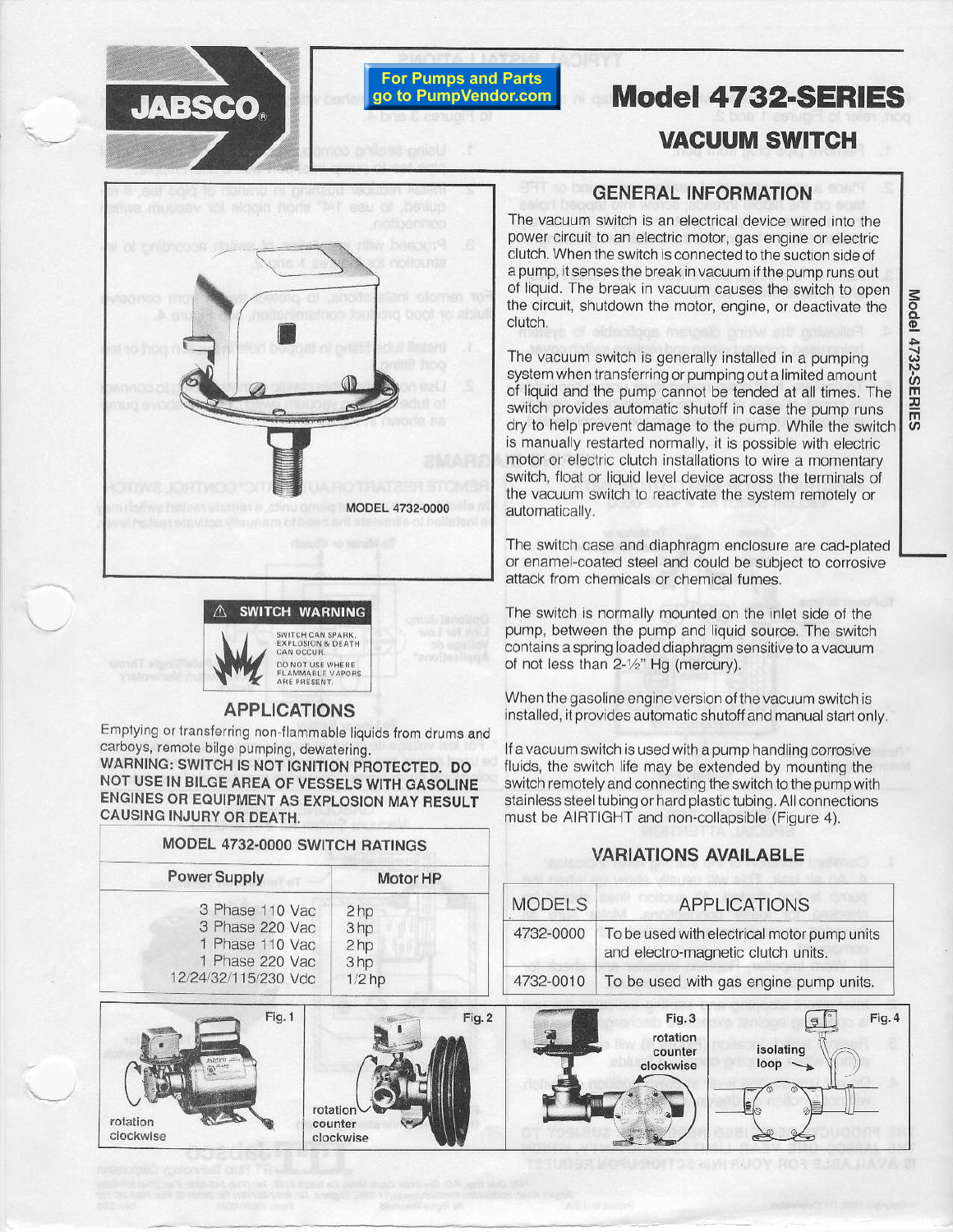

# **For Pumps and Parts** go to PumpVendor.com

# **Model 4732-SERIES**

# **VACUUM SWITCH**





#### **APPLICATIONS**

Emptying or transferring non-flammable liquids from drums and carboys, remote bilge pumping, dewatering.

WARNING: SWITCH IS NOT IGNITION PROTECTED. DO NOT USE IN BILGE AREA OF VESSELS WITH GASOLINE ENGINES OR EQUIPMENT AS EXPLOSION MAY RESULT **CAUSING INJURY OR DEATH.** 

MODEL 4732-0000 SWITCH RATINGS

## **GENERAL INFORMATION**

The vacuum switch is an electrical device wired into the power circuit to an electric motor, gas engine or electric clutch. When the switch is connected to the suction side of a pump, it senses the break in vacuum if the pump runs out of liquid. The break in vacuum causes the switch to open the circuit, shutdown the motor, engine, or deactivate the clutch.

The vacuum switch is generally installed in a pumping system when transferring or pumping out a limited amount of liquid and the pump cannot be tended at all times. The switch provides automatic shutoff in case the pump runs dry to help prevent damage to the pump. While the switch is manually restarted normally, it is possible with electric motor or electric clutch installations to wire a momentary switch, float or liquid level device across the terminals of the vacuum switch to reactivate the system remotely or automatically.

The switch case and diaphragm enclosure are cad-plated or enamel-coated steel and could be subject to corrosive attack from chemicals or chemical fumes.

The switch is normally mounted on the inlet side of the pump, between the pump and liquid source. The switch contains a spring loaded diaphragm sensitive to a vacuum of not less than 2-1/2" Hg (mercury).

When the gasoline engine version of the vacuum switch is installed, it provides automatic shutoff and manual start only.

If a vacuum switch is used with a pump handling corrosive fluids, the switch life may be extended by mounting the switch remotely and connecting the switch to the pump with stainless steel tubing or hard plastic tubing. All connections must be AIRTIGHT and non-collapsible (Figure 4).

## **VARIATIONS AVAILABLE**

**BRIATINA IN V** 

| Power Supply                                                                                   | Motor HP                                                                 |               |                                                                                   |
|------------------------------------------------------------------------------------------------|--------------------------------------------------------------------------|---------------|-----------------------------------------------------------------------------------|
| 3 Phase 110 Vac<br>3 Phase 220 Vac<br>1 Phase 110 Vac<br>Phase 220 Vac<br>12/24/32/115/230 Vdc | 2 <sub>hp</sub><br>3 <sub>hp</sub><br>2 <sub>hp</sub><br>3hp<br>$1/2$ hp | <b>MODELS</b> | <b>APPLICATIONS</b>                                                               |
|                                                                                                |                                                                          | 4732-0000     | To be used with electrical motor pump units<br>and electro-magnetic clutch units. |
|                                                                                                |                                                                          | 4732-0010     | To be used with gas engine pump units.                                            |
| Find 1                                                                                         |                                                                          | Fin 2         | $\blacksquare$<br>$\sum_{i=1}^n A_i$<br>$\sum_{i=1}^{n} a_i$                      |